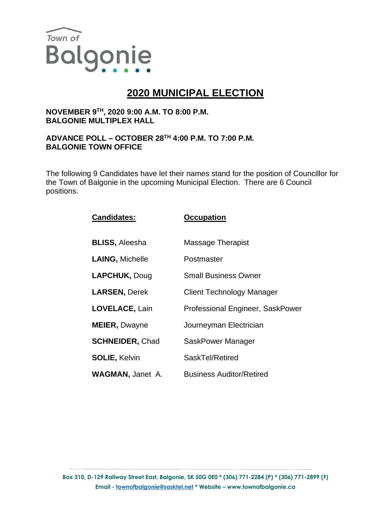

# **2020 MUNICIPAL ELECTION**

## **NOVEMBER 9TH, 2020 9:00 A.M. TO 8:00 P.M. BALGONIE MULTIPLEX HALL**

### **ADVANCE POLL – OCTOBER 28TH 4:00 P.M. TO 7:00 P.M. BALGONIE TOWN OFFICE**

The following 9 Candidates have let their names stand for the position of Councillor for the Town of Balgonie in the upcoming Municipal Election. There are 6 Council positions.

| <b>Candidates:</b>      | <b>Occupation</b>                |
|-------------------------|----------------------------------|
| <b>BLISS, Aleesha</b>   | <b>Massage Therapist</b>         |
| <b>LAING, Michelle</b>  | Postmaster                       |
| <b>LAPCHUK, Doug</b>    | <b>Small Business Owner</b>      |
| <b>LARSEN, Derek</b>    | <b>Client Technology Manager</b> |
| <b>LOVELACE, Lain</b>   | Professional Engineer, SaskPower |
| <b>MEIER, Dwayne</b>    | Journeyman Electrician           |
| <b>SCHNEIDER, Chad</b>  | SaskPower Manager                |
| <b>SOLIE, Kelvin</b>    | SaskTel/Retired                  |
| <b>WAGMAN, Janet A.</b> | <b>Business Auditor/Retired</b>  |